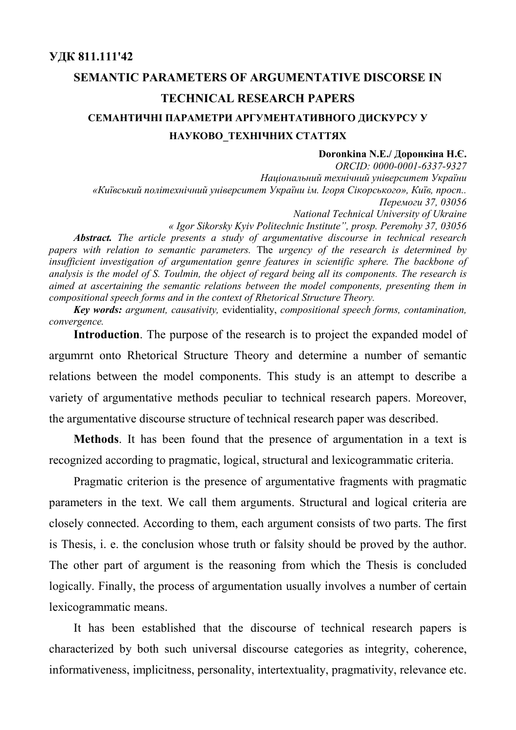# **SEMANTIC PARAMETERS OF ARGUMENTATIVE DISCORSE IN TECHNICAL RESEARCH PAPERS СЕМАНТИЧНІ ПАРАМЕТРИ АРГУМЕНТАТИВНОГО ДИСКУРСУ У НАУКОВО\_ТЕХНІЧНИХ СТАТТЯХ**

#### **Doronkina N.E./ Доронкіна Н.Є.**

*ORCID: 0000-0001-6337-9327 Національний технічний університет України «Київський політехнічний університет України ім. Ігоря Сікорського», Київ, просп.. Перемоги 37, 03056 National Technical University of Ukraine « Igor Sikorsky Kyiv Politechnic Institute", prosp. Peremohy 37, 03056 Abstract. The article presents a study of argumentative discourse in technical research papers with relation to semantic parameters.* The *urgency of the research is determined by insufficient investigation of argumentation genre features in scientific sphere. The backbone of analysis is the model of S. Toulmin, the object of regard being all its components. The research is aimed at ascertaining the semantic relations between the model components, presenting them in* 

*compositional speech forms and in the context of Rhetorical Structure Theory.*

*Key words: argument, causativity,* evidentiality, *compositional speech forms, contamination, convergence.*

**Introduction**. The purpose of the research is to project the expanded model of argumrnt onto Rhetorical Structure Theory and determine a number of semantic relations between the model components. This study is an attempt to describe a variety of argumentative methods peculiar to technical research papers. Moreover, the argumentative discourse structure of technical research paper was described.

**Methods**. It has been found that the presence of argumentation in a text is recognized according to pragmatic, logical, structural and lexicogrammatic criteria.

Pragmatic criterion is the presence of argumentative fragments with pragmatic parameters in the text. We call them arguments. Structural and logical criteria are closely connected. According to them, each argument consists of two parts. The first is Thesis, i. e. the conclusion whose truth or falsity should be proved by the author. The other part of argument is the reasoning from which the Thesis is concluded logically. Finally, the process of argumentation usually involves a number of certain lexicogrammatic means.

It has been established that the discourse of technical research papers is characterized by both such universal discourse categories as integrity, coherence, informativeness, implicitness, personality, intertextuality, pragmativity, relevance etc.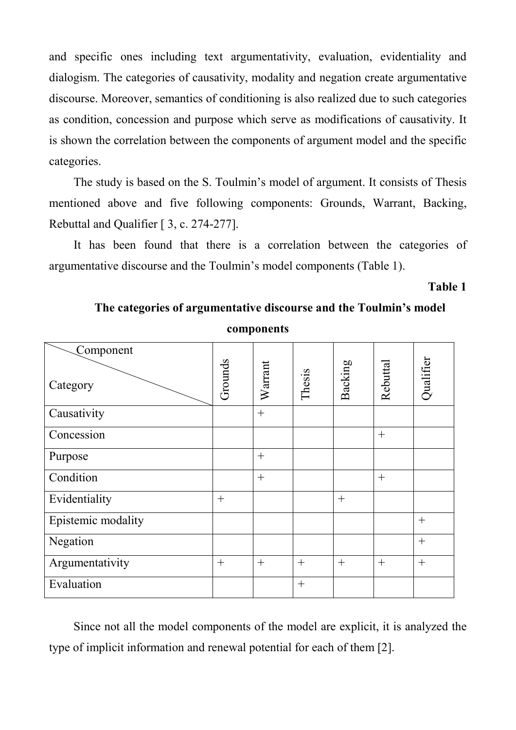and specific ones including text argumentativity, evaluation, evidentiality and dialogism. The categories of causativity, modality and negation create argumentative discourse. Moreover, semantics of conditioning is also realized due to such categories as condition, concession and purpose which serve as modifications of causativity. It is shown the correlation between the components of argument model and the specific categories.

The study is based on the S. Toulmin's model of argument. It consists of Thesis mentioned above and five following components: Grounds, Warrant, Backing, Rebuttal and Qualifier [ 3, с. 274-277].

It has been found that there is a correlation between the categories of argumentative discourse and the Toulmin's model components (Table 1).

# **Table 1**

| Component<br>Category | Grounds | Warrant | Thesis | Backing | Rebuttal | Qualifier |
|-----------------------|---------|---------|--------|---------|----------|-----------|
| Causativity           |         | $+$     |        |         |          |           |
| Concession            |         |         |        |         | $^{+}$   |           |
| Purpose               |         | $+$     |        |         |          |           |
| Condition             |         | $+$     |        |         | $+$      |           |
| Evidentiality         | $^{+}$  |         |        | $+$     |          |           |
| Epistemic modality    |         |         |        |         |          | $^{+}$    |
| Negation              |         |         |        |         |          | $^{+}$    |
| Argumentativity       | $^{+}$  | $+$     | $+$    | $+$     | $+$      | $^{+}$    |
| Evaluation            |         |         | $+$    |         |          |           |

**The categories of argumentative discourse and the Toulmin's model components**

Since not all the model components of the model are explicit, it is analyzed the type of implicit information and renewal potential for each of them [2].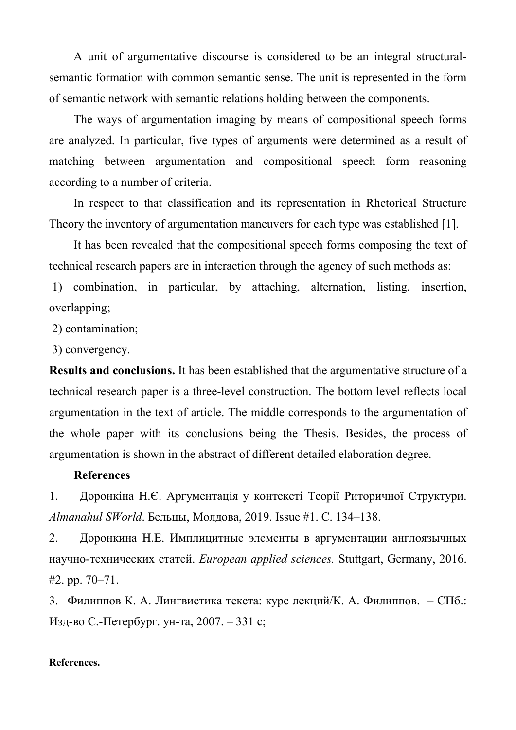A unit of argumentative discourse is considered to be an integral structuralsemantic formation with common semantic sense. The unit is represented in the form of semantic network with semantic relations holding between the components.

The ways of argumentation imaging by means of compositional speech forms are analyzed. In particular, five types of arguments were determined as a result of matching between argumentation and compositional speech form reasoning according to a number of criteria.

In respect to that classification and its representation in Rhetorical Structure Theory the inventory of argumentation maneuvers for each type was established [1].

It has been revealed that the compositional speech forms composing the text of technical research papers are in interaction through the agency of such methods as:

1) combination, in particular, by attaching, alternation, listing, insertion, overlapping;

2) contamination;

3) convergency.

**Results and conclusions.** It has been established that the argumentative structure of a technical research paper is a three-level construction. The bottom level reflects local argumentation in the text of article. The middle corresponds to the argumentation of the whole paper with its conclusions being the Thesis. Besides, the process of argumentation is shown in the abstract of different detailed elaboration degree.

## **References**

1. Доронкіна Н.Є. Аргументація у контексті Теорії Риторичної Структури. *Almanahul SWorld*. Бельцы, Молдова, 2019. Issue #1. C. 134‒138.

2. Доронкина Н.Е. Имплицитные элементы в аргументации англоязычных научно-технических статей. *European applied sciences.* Stuttgart, Germany, 2016. #2. pp. 70‒71.

3. Филиппов К. А. Лингвистика текста: курс лекций/К. А. Филиппов. – СПб.: Изд-во С.-Петербург. ун-та, 2007. – 331 с;

## **References.**